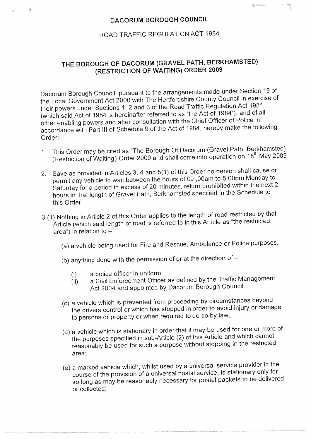## DACORUM BOROUGH COUNCIL

 $\mathcal{A}_\mathbf{a}$ 

 $\frac{1}{2}$  ,  $\frac{1}{2}$  ,  $\frac{1}{2}$  ,  $\frac{1}{2}$ 

 $\left\{ \begin{array}{c} \mathbb{Z}^n \to \mathbb{Z}^n \end{array} \right.$ 

## ROAD TRAFFIC REGULATION ACT 1984

## THE BOROUGH OF DACORUM (GRAVEL PATH, BERKHAMSTED) (RESTRICTION OF WAITING) ORDER 2009

Dacorum Borough Council, pursuant to the arrangements made under Section 19 of<br>the Local Government Act 2000 with The Hertfordshire County Council in exercise of<br>their powers under Sections 1, 2 and 3 of the Road Traffic R accordance with Part III of Schedule 9 of the Act of 1984, hereby make the following Order:-

- 1. This Order may be cited as "The Borough Of Dacorum (Gravel Path, Berkhamsted)<br>(Restriction of Waiting) Order 2009 and shall come into operation on 18<sup>th</sup> May 2009
- 2. Save as provided in Articles 3, 4 and 5(1) of this Order no person shall cause or Saturday for a period in excess of 20 minutes, return prohibited within the next 2<br>hours in that length of Gravel Path, Berkhamsted specified in the Schedule to this Order.
- 3.(1) Nothing in Article 2 of this Order applies to the length of road restricted by that Article (which said length of road is referred to in this Article as "the restricted  $\alpha$ rea") in relation to  $-$ 
	- (a) a vehicle being used for Fire and Rescue, Ambulance or Police purposes.
	- (b) anything done with the permission of or at the direction of  $-$ 
		-
		- (i) a police officer in uniform;<br>(ii) a Civil Enforcement Officer as defined by the Traffic Management (ii) a Civil Enforcement Officer as defined by the Traffic Management Act 2004 and appointed by Dacorum Borough Council.
	- (c) a vehicle which is prevented from proceeding by circumstances beyond the drivers control or which has stopped in order to avoid injury or damage to persons or property or when required to do so by law;
	- (d) a vehicle which is stationary in order that it may be used for one or more of<br>the purposes specified in sub-Article (2) of this Article and which cannot reasonably be used for such a purpose without stopping in the restricted area;
	- (e) a marked vehicle which, whilst used by a universal service provider in the course of the provision of a universal postal service, is stationary only for so long as may be reasonably necessary for postal packets to be delivered or collected;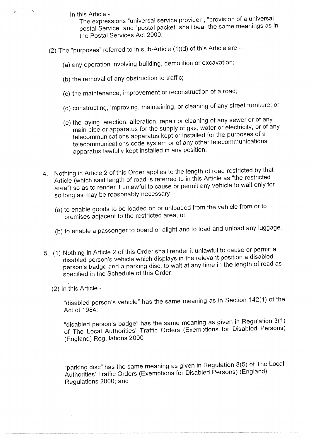$\mathcal{O}^{\text{loc}}(\mathbb{R}^d)$ 

In this Article - The expressions "universal service provider", "provision of a universal postal Service" and "postal packet" shall bear the same meanings as in the Postal Services Act 2000.

- (2) The "purposes" referred to in sub-Article  $(1)(d)$  of this Article are  $-$ 
	- (a) any operation involving building, demolition or excavation;
	- (b) the removal of any obstruction to traffic;
	- (c) the maintenance, improvement or reconstruction of a road;
	- (d) constructing, improving, maintaining, or cleaning of any street furniture; or
	- (e) the laying, erection, alteration, repair or cleaning of any sewer or of any telecommunications apparatus kept or installed for the purposes of a telecommunications code system or of any other telecommunications apparatus lawfully kept installed in any position.
- 4. Nothing in Article 2 of this Order applies to the length of road restricted by that Article (which said length of road is referred to in this Article as "the restricted area") so as to render it unlawful to cause or permit any vehicle to wait only for  $\mathfrak s$ o long as may be reasonably necessary –
	- (a) to enable goods to be loaded on or unloaded from the vehicle from or to premises adjacent to the restricted area; or
	- (b) to enable a passenger to board or alight and to load and unload any luggage.
- 5. (1) Nothing in Article 2 of this Order shall render it unlawful to cause or permit a disabled person's vehicle which displays in the relevant position a disabled person's badge and a parking disc, to wait at any time in the length of road as specified in the Schedule of this Order.
	- (2) In this Article -

**"disabled person** 's vehicle" **has the same meaning as in Section** 142(1) of the Act of 1984;

"disabled person's badge" has the same meaning as given in Regulation 3(1)<br>of The Local Authorities' Traffic Orders (Exemptions for Disabled Persons) (England) Regulations 2000

"parking disc" has the same meaning as given in Regulation 8(5) of The Local Authorities' Traffic Orders (Exemptions for Disabled Persons) (England) Regulations 2000; and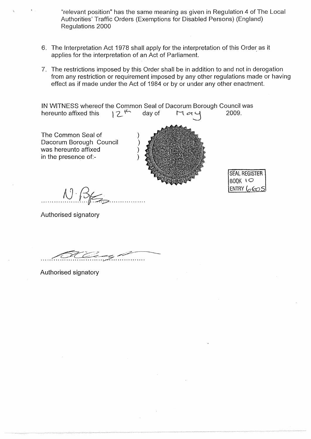"relevant position" has the same meaning as given in Regulation 4 of The Local Authorities' Traffic Orders (Exemptions for Disabled Persons) (England) Regulations 2000

- 6. The Interpretation Act 1978 shall apply for the interpretation of this Order as it applies for the interpretation of an Act of Parliament.
- 7. The **restrictions imposed by this Order shall be in addition to and not in derogation from any restriction or requirement imposed by any other regulations made or having effect as if made under the** Act of 1984 **or by or under any other enactment.**

**IN** WITNESS whereof the Common Seal of Dacorum Borough Council was<br>hereunto affixed this  $\begin{bmatrix} 2^{4k} & \text{day of} & \text{Id } \ll 4 \end{bmatrix}$  2009. **hereunto affixed this 12<sup>4</sup> day of H**  $\alpha$  y

The Common Seal of Dacorum Borough Council was hereunto affixed in the presence of:-



**SEAL REGISTER**  $B00K$   $\iota$  $ENTRY$   $(\sigma \infty$ 

Authorised signatory

 $\bigwedge^{\cdot}$   $\bigwedge^{\cdot}$ 

**-------------**

Authorised signatory